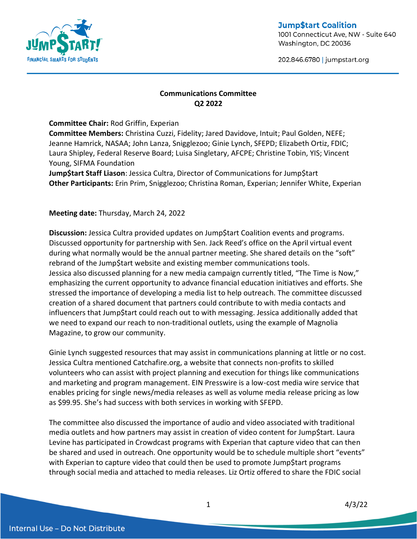

**Jump\$tart Coalition** 1001 Connecticut Ave, NW - Suite 640 Washington, DC 20036

202.846.6780 | jumpstart.org

## **Communications Committee Q2 2022**

**Committee Chair:** Rod Griffin, Experian

**Committee Members:** Christina Cuzzi, Fidelity; Jared Davidove, Intuit; Paul Golden, NEFE; Jeanne Hamrick, NASAA; John Lanza, Snigglezoo; Ginie Lynch, SFEPD; Elizabeth Ortiz, FDIC; Laura Shipley, Federal Reserve Board; Luisa Singletary, AFCPE; Christine Tobin, YIS; Vincent Young, SIFMA Foundation

**Jump\$tart Staff Liason**: Jessica Cultra, Director of Communications for Jump\$tart **Other Participants:** Erin Prim, Snigglezoo; Christina Roman, Experian; Jennifer White, Experian

**Meeting date:** Thursday, March 24, 2022

**Discussion:** Jessica Cultra provided updates on Jump\$tart Coalition events and programs. Discussed opportunity for partnership with Sen. Jack Reed's office on the April virtual event during what normally would be the annual partner meeting. She shared details on the "soft" rebrand of the Jump\$tart website and existing member communications tools. Jessica also discussed planning for a new media campaign currently titled, "The Time is Now," emphasizing the current opportunity to advance financial education initiatives and efforts. She stressed the importance of developing a media list to help outreach. The committee discussed creation of a shared document that partners could contribute to with media contacts and influencers that Jump\$tart could reach out to with messaging. Jessica additionally added that we need to expand our reach to non-traditional outlets, using the example of Magnolia Magazine, to grow our community.

Ginie Lynch suggested resources that may assist in communications planning at little or no cost. Jessica Cultra mentioned Catchafire.org, a website that connects non-profits to skilled volunteers who can assist with project planning and execution for things like communications and marketing and program management. EIN Presswire is a low-cost media wire service that enables pricing for single news/media releases as well as volume media release pricing as low as \$99.95. She's had success with both services in working with SFEPD.

The committee also discussed the importance of audio and video associated with traditional media outlets and how partners may assist in creation of video content for Jump\$tart. Laura Levine has participated in Crowdcast programs with Experian that capture video that can then be shared and used in outreach. One opportunity would be to schedule multiple short "events" with Experian to capture video that could then be used to promote Jump\$tart programs through social media and attached to media releases. Liz Ortiz offered to share the FDIC social